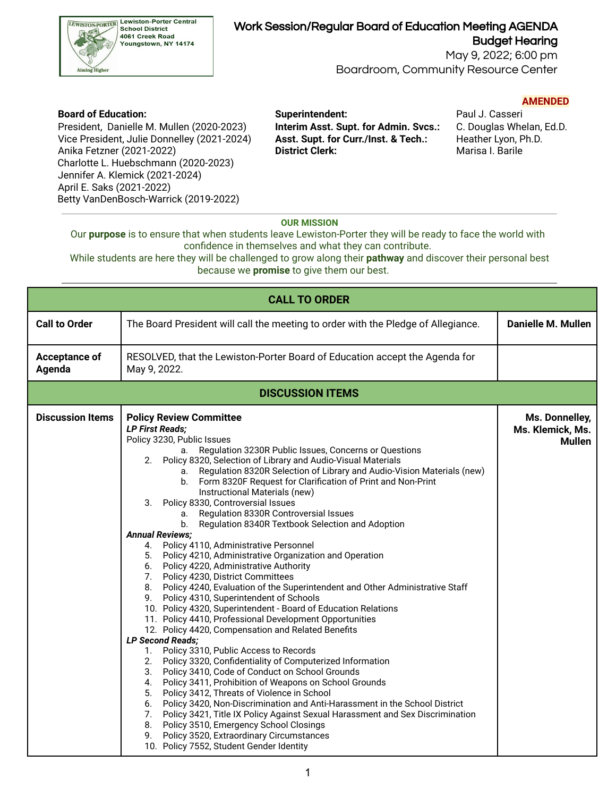

## Work Session/Regular Board of Education Meeting AGENDA

 May 9, 2022; 6:00 pm Budget Hearing

Boardroom, Community Resource Center

### **AMENDED**

 President, Danielle M. Mullen (2020-2023) **Interim Asst. Supt. for Admin. Svcs.:** C. Douglas Whelan, Ed.D. Vice President, Julie Donnelley (2021-2024) **Asst. Supt. for Curr./Inst. & Tech.:** Heather Lyon, Ph.D. Anika Fetzner (2021-2022) **District Clerk:** Marisa I. Barile Charlotte L. Huebschmann (2020-2023) Jennifer A. Klemick (2021-2024) April E. Saks (2021-2022) Betty VanDenBosch-Warrick (2019-2022)

# **Board of Education: Superintendent:** Paul J. Casseri

### **OUR MISSION**

 Our **purpose** is to ensure that when students leave Lewiston-Porter they will be ready to face the world with confidence in themselves and what they can contribute.

 While students are here they will be challenged to grow along their **pathway** and discover their personal best because we **promise** to give them our best.

| <b>CALL TO ORDER</b>    |                                                                                                                                                                                                                                                                                                                                                                                                                                                                                                                                                                                                                                                                                                                                                                                                                                                                                                                                                                                                                                                                                                                                                                                                                                                                                                                                                                                                                                                                                                                                                                                                                                                                                                                                                          |                                                     |  |  |  |  |
|-------------------------|----------------------------------------------------------------------------------------------------------------------------------------------------------------------------------------------------------------------------------------------------------------------------------------------------------------------------------------------------------------------------------------------------------------------------------------------------------------------------------------------------------------------------------------------------------------------------------------------------------------------------------------------------------------------------------------------------------------------------------------------------------------------------------------------------------------------------------------------------------------------------------------------------------------------------------------------------------------------------------------------------------------------------------------------------------------------------------------------------------------------------------------------------------------------------------------------------------------------------------------------------------------------------------------------------------------------------------------------------------------------------------------------------------------------------------------------------------------------------------------------------------------------------------------------------------------------------------------------------------------------------------------------------------------------------------------------------------------------------------------------------------|-----------------------------------------------------|--|--|--|--|
| <b>Call to Order</b>    | The Board President will call the meeting to order with the Pledge of Allegiance.                                                                                                                                                                                                                                                                                                                                                                                                                                                                                                                                                                                                                                                                                                                                                                                                                                                                                                                                                                                                                                                                                                                                                                                                                                                                                                                                                                                                                                                                                                                                                                                                                                                                        | <b>Danielle M. Mullen</b>                           |  |  |  |  |
| Acceptance of<br>Agenda | RESOLVED, that the Lewiston-Porter Board of Education accept the Agenda for<br>May 9, 2022.                                                                                                                                                                                                                                                                                                                                                                                                                                                                                                                                                                                                                                                                                                                                                                                                                                                                                                                                                                                                                                                                                                                                                                                                                                                                                                                                                                                                                                                                                                                                                                                                                                                              |                                                     |  |  |  |  |
| <b>DISCUSSION ITEMS</b> |                                                                                                                                                                                                                                                                                                                                                                                                                                                                                                                                                                                                                                                                                                                                                                                                                                                                                                                                                                                                                                                                                                                                                                                                                                                                                                                                                                                                                                                                                                                                                                                                                                                                                                                                                          |                                                     |  |  |  |  |
| <b>Discussion Items</b> | <b>Policy Review Committee</b><br><b>LP First Reads;</b><br>Policy 3230, Public Issues<br>Regulation 3230R Public Issues, Concerns or Questions<br>а.<br>2. Policy 8320, Selection of Library and Audio-Visual Materials<br>a. Regulation 8320R Selection of Library and Audio-Vision Materials (new)<br>b. Form 8320F Request for Clarification of Print and Non-Print<br>Instructional Materials (new)<br>Policy 8330, Controversial Issues<br>3.<br>a. Regulation 8330R Controversial Issues<br>b. Regulation 8340R Textbook Selection and Adoption<br><b>Annual Reviews:</b><br>4. Policy 4110, Administrative Personnel<br>5. Policy 4210, Administrative Organization and Operation<br>6. Policy 4220, Administrative Authority<br>Policy 4230, District Committees<br>7.<br>Policy 4240, Evaluation of the Superintendent and Other Administrative Staff<br>8.<br>Policy 4310, Superintendent of Schools<br>9.<br>10. Policy 4320, Superintendent - Board of Education Relations<br>11. Policy 4410, Professional Development Opportunities<br>12. Policy 4420, Compensation and Related Benefits<br><b>LP Second Reads;</b><br>Policy 3310, Public Access to Records<br>1.<br>Policy 3320, Confidentiality of Computerized Information<br>2.<br>Policy 3410, Code of Conduct on School Grounds<br>3.<br>Policy 3411, Prohibition of Weapons on School Grounds<br>4.<br>5.<br>Policy 3412, Threats of Violence in School<br>Policy 3420, Non-Discrimination and Anti-Harassment in the School District<br>6.<br>Policy 3421, Title IX Policy Against Sexual Harassment and Sex Discrimination<br>7.<br>Policy 3510, Emergency School Closings<br>8.<br>Policy 3520, Extraordinary Circumstances<br>9.<br>10. Policy 7552, Student Gender Identity | Ms. Donnelley,<br>Ms. Klemick, Ms.<br><b>Mullen</b> |  |  |  |  |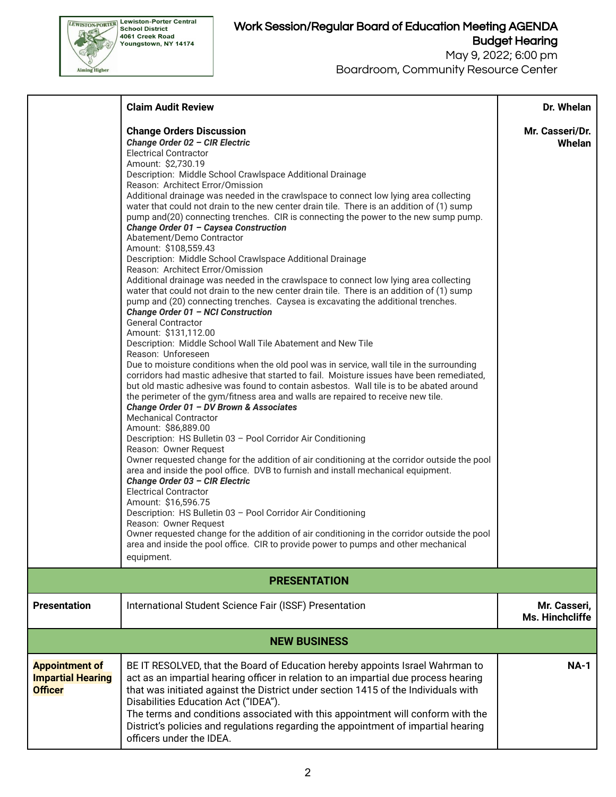

Boardroom, Community Resource Center

|                                                                     | <b>Claim Audit Review</b>                                                                                                                                                                                                                                                                                                                                                                                                                                                                                                                                                                                                                                                                                                                                                                                                                                                                                                                                                                                                                                                                                                                                                                                                                                                                                                                                                                                                                                                                                                                                                                                                                                                                                                                                                                                                                                                                                                                                                                                                                                                                                                                                                                                                                                                                                       | Dr. Whelan                      |  |  |  |  |
|---------------------------------------------------------------------|-----------------------------------------------------------------------------------------------------------------------------------------------------------------------------------------------------------------------------------------------------------------------------------------------------------------------------------------------------------------------------------------------------------------------------------------------------------------------------------------------------------------------------------------------------------------------------------------------------------------------------------------------------------------------------------------------------------------------------------------------------------------------------------------------------------------------------------------------------------------------------------------------------------------------------------------------------------------------------------------------------------------------------------------------------------------------------------------------------------------------------------------------------------------------------------------------------------------------------------------------------------------------------------------------------------------------------------------------------------------------------------------------------------------------------------------------------------------------------------------------------------------------------------------------------------------------------------------------------------------------------------------------------------------------------------------------------------------------------------------------------------------------------------------------------------------------------------------------------------------------------------------------------------------------------------------------------------------------------------------------------------------------------------------------------------------------------------------------------------------------------------------------------------------------------------------------------------------------------------------------------------------------------------------------------------------|---------------------------------|--|--|--|--|
|                                                                     | <b>Change Orders Discussion</b><br>Change Order 02 - CIR Electric<br><b>Electrical Contractor</b><br>Amount: \$2,730.19<br>Description: Middle School Crawlspace Additional Drainage<br>Reason: Architect Error/Omission<br>Additional drainage was needed in the crawlspace to connect low lying area collecting<br>water that could not drain to the new center drain tile. There is an addition of (1) sump<br>pump and(20) connecting trenches. CIR is connecting the power to the new sump pump.<br>Change Order 01 - Caysea Construction<br>Abatement/Demo Contractor<br>Amount: \$108,559.43<br>Description: Middle School Crawlspace Additional Drainage<br>Reason: Architect Error/Omission<br>Additional drainage was needed in the crawlspace to connect low lying area collecting<br>water that could not drain to the new center drain tile. There is an addition of (1) sump<br>pump and (20) connecting trenches. Caysea is excavating the additional trenches.<br>Change Order 01 - NCI Construction<br><b>General Contractor</b><br>Amount: \$131,112.00<br>Description: Middle School Wall Tile Abatement and New Tile<br>Reason: Unforeseen<br>Due to moisture conditions when the old pool was in service, wall tile in the surrounding<br>corridors had mastic adhesive that started to fail. Moisture issues have been remediated,<br>but old mastic adhesive was found to contain asbestos. Wall tile is to be abated around<br>the perimeter of the gym/fitness area and walls are repaired to receive new tile.<br>Change Order 01 - DV Brown & Associates<br><b>Mechanical Contractor</b><br>Amount: \$86,889.00<br>Description: HS Bulletin 03 - Pool Corridor Air Conditioning<br>Reason: Owner Request<br>Owner requested change for the addition of air conditioning at the corridor outside the pool<br>area and inside the pool office. DVB to furnish and install mechanical equipment.<br>Change Order 03 - CIR Electric<br><b>Electrical Contractor</b><br>Amount: \$16,596.75<br>Description: HS Bulletin 03 - Pool Corridor Air Conditioning<br>Reason: Owner Request<br>Owner requested change for the addition of air conditioning in the corridor outside the pool<br>area and inside the pool office. CIR to provide power to pumps and other mechanical<br>equipment. | Mr. Casseri/Dr.<br>Whelan       |  |  |  |  |
| <b>PRESENTATION</b>                                                 |                                                                                                                                                                                                                                                                                                                                                                                                                                                                                                                                                                                                                                                                                                                                                                                                                                                                                                                                                                                                                                                                                                                                                                                                                                                                                                                                                                                                                                                                                                                                                                                                                                                                                                                                                                                                                                                                                                                                                                                                                                                                                                                                                                                                                                                                                                                 |                                 |  |  |  |  |
| <b>Presentation</b>                                                 | International Student Science Fair (ISSF) Presentation                                                                                                                                                                                                                                                                                                                                                                                                                                                                                                                                                                                                                                                                                                                                                                                                                                                                                                                                                                                                                                                                                                                                                                                                                                                                                                                                                                                                                                                                                                                                                                                                                                                                                                                                                                                                                                                                                                                                                                                                                                                                                                                                                                                                                                                          | Mr. Casseri,<br>Ms. Hinchcliffe |  |  |  |  |
| <b>NEW BUSINESS</b>                                                 |                                                                                                                                                                                                                                                                                                                                                                                                                                                                                                                                                                                                                                                                                                                                                                                                                                                                                                                                                                                                                                                                                                                                                                                                                                                                                                                                                                                                                                                                                                                                                                                                                                                                                                                                                                                                                                                                                                                                                                                                                                                                                                                                                                                                                                                                                                                 |                                 |  |  |  |  |
| <b>Appointment of</b><br><b>Impartial Hearing</b><br><b>Officer</b> | BE IT RESOLVED, that the Board of Education hereby appoints Israel Wahrman to<br>act as an impartial hearing officer in relation to an impartial due process hearing<br>that was initiated against the District under section 1415 of the Individuals with<br>Disabilities Education Act ("IDEA").<br>The terms and conditions associated with this appointment will conform with the<br>District's policies and regulations regarding the appointment of impartial hearing<br>officers under the IDEA.                                                                                                                                                                                                                                                                                                                                                                                                                                                                                                                                                                                                                                                                                                                                                                                                                                                                                                                                                                                                                                                                                                                                                                                                                                                                                                                                                                                                                                                                                                                                                                                                                                                                                                                                                                                                         | <b>NA-1</b>                     |  |  |  |  |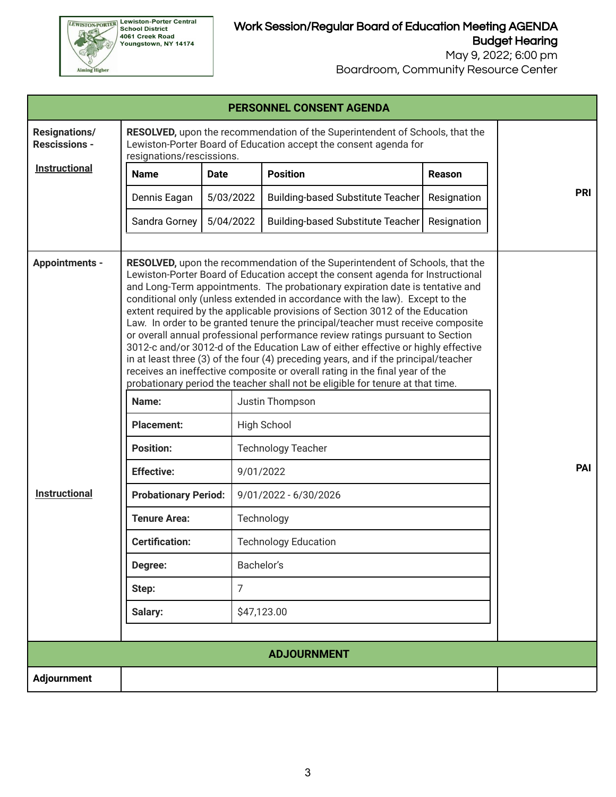

Boardroom, Community Resource Center

| <b>PERSONNEL CONSENT AGENDA</b>               |                                                                                                                                                                                   |                 |                                                                                                                                                                                                                                                                                                                                                                                                                                                                                                                                                                                                                                                                                                                                                                                                                                                                                                                                                                                                                                                                                                                    |             |            |  |  |
|-----------------------------------------------|-----------------------------------------------------------------------------------------------------------------------------------------------------------------------------------|-----------------|--------------------------------------------------------------------------------------------------------------------------------------------------------------------------------------------------------------------------------------------------------------------------------------------------------------------------------------------------------------------------------------------------------------------------------------------------------------------------------------------------------------------------------------------------------------------------------------------------------------------------------------------------------------------------------------------------------------------------------------------------------------------------------------------------------------------------------------------------------------------------------------------------------------------------------------------------------------------------------------------------------------------------------------------------------------------------------------------------------------------|-------------|------------|--|--|
| <b>Resignations/</b><br><b>Rescissions -</b>  | RESOLVED, upon the recommendation of the Superintendent of Schools, that the<br>Lewiston-Porter Board of Education accept the consent agenda for<br>resignations/rescissions.     |                 |                                                                                                                                                                                                                                                                                                                                                                                                                                                                                                                                                                                                                                                                                                                                                                                                                                                                                                                                                                                                                                                                                                                    |             |            |  |  |
| <b>Instructional</b>                          | <b>Name</b>                                                                                                                                                                       | <b>Date</b>     | <b>Position</b>                                                                                                                                                                                                                                                                                                                                                                                                                                                                                                                                                                                                                                                                                                                                                                                                                                                                                                                                                                                                                                                                                                    | Reason      |            |  |  |
|                                               | Dennis Eagan                                                                                                                                                                      | 5/03/2022       | <b>Building-based Substitute Teacher</b>                                                                                                                                                                                                                                                                                                                                                                                                                                                                                                                                                                                                                                                                                                                                                                                                                                                                                                                                                                                                                                                                           | Resignation | <b>PRI</b> |  |  |
|                                               | Sandra Gorney                                                                                                                                                                     | 5/04/2022       | <b>Building-based Substitute Teacher</b>                                                                                                                                                                                                                                                                                                                                                                                                                                                                                                                                                                                                                                                                                                                                                                                                                                                                                                                                                                                                                                                                           | Resignation |            |  |  |
| <b>Appointments -</b><br><b>Instructional</b> | Name:<br><b>Placement:</b><br><b>Position:</b><br><b>Effective:</b><br><b>Probationary Period:</b><br><b>Tenure Area:</b><br><b>Certification:</b><br>Degree:<br>Step:<br>Salary: | Bachelor's<br>7 | <b>RESOLVED</b> , upon the recommendation of the Superintendent of Schools, that the<br>Lewiston-Porter Board of Education accept the consent agenda for Instructional<br>and Long-Term appointments. The probationary expiration date is tentative and<br>conditional only (unless extended in accordance with the law). Except to the<br>extent required by the applicable provisions of Section 3012 of the Education<br>Law. In order to be granted tenure the principal/teacher must receive composite<br>or overall annual professional performance review ratings pursuant to Section<br>3012-c and/or 3012-d of the Education Law of either effective or highly effective<br>in at least three (3) of the four (4) preceding years, and if the principal/teacher<br>receives an ineffective composite or overall rating in the final year of the<br>probationary period the teacher shall not be eligible for tenure at that time.<br>Justin Thompson<br><b>High School</b><br><b>Technology Teacher</b><br>9/01/2022<br>9/01/2022 - 6/30/2026<br>Technology<br><b>Technology Education</b><br>\$47,123.00 |             | PAI        |  |  |
| <b>ADJOURNMENT</b>                            |                                                                                                                                                                                   |                 |                                                                                                                                                                                                                                                                                                                                                                                                                                                                                                                                                                                                                                                                                                                                                                                                                                                                                                                                                                                                                                                                                                                    |             |            |  |  |
| Adjournment                                   |                                                                                                                                                                                   |                 |                                                                                                                                                                                                                                                                                                                                                                                                                                                                                                                                                                                                                                                                                                                                                                                                                                                                                                                                                                                                                                                                                                                    |             |            |  |  |